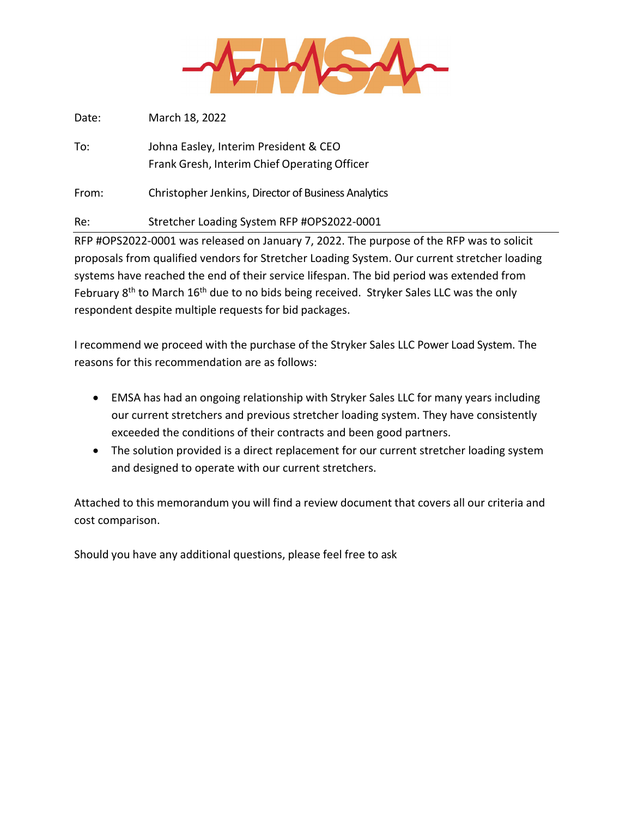

Date: March 18, 2022

To: Johna Easley, Interim President & CEO Frank Gresh, Interim Chief Operating Officer

From: Christopher Jenkins, Director of Business Analytics

Re: Stretcher Loading System RFP #OPS2022-0001

RFP #OPS2022‐0001 was released on January 7, 2022. The purpose of the RFP was to solicit proposals from qualified vendors for Stretcher Loading System. Our current stretcher loading systems have reached the end of their service lifespan. The bid period was extended from February 8<sup>th</sup> to March 16<sup>th</sup> due to no bids being received. Stryker Sales LLC was the only respondent despite multiple requests for bid packages.

I recommend we proceed with the purchase of the Stryker Sales LLC Power Load System. The reasons for this recommendation are as follows:

- EMSA has had an ongoing relationship with Stryker Sales LLC for many years including our current stretchers and previous stretcher loading system. They have consistently exceeded the conditions of their contracts and been good partners.
- The solution provided is a direct replacement for our current stretcher loading system and designed to operate with our current stretchers.

Attached to this memorandum you will find a review document that covers all our criteria and cost comparison.

Should you have any additional questions, please feel free to ask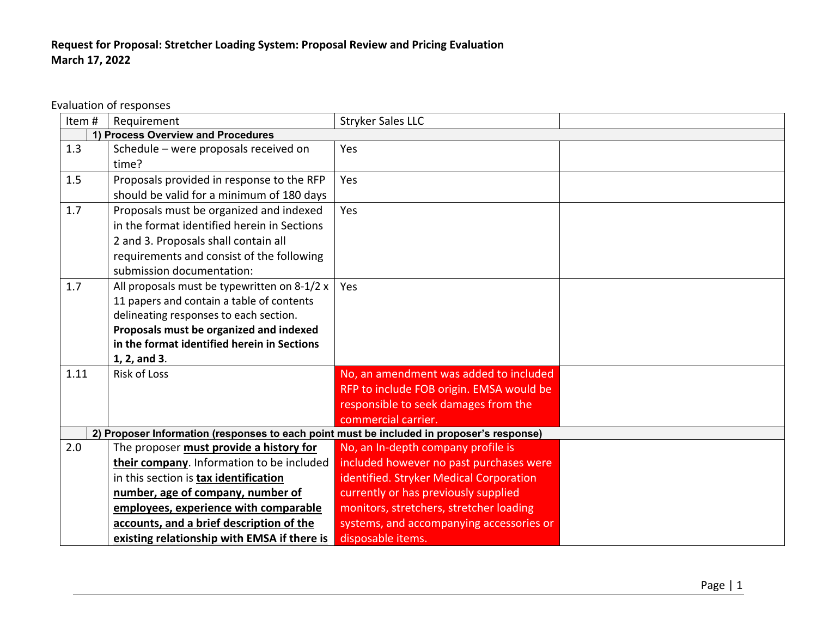## **Request for Proposal: Stretcher Loading System: Proposal Review and Pricing Evaluation March 17, 2022**

Evaluation of responses

| Item# | Requirement                                                                                                                                                                                                                                   | <b>Stryker Sales LLC</b>                                                                                                                                         |  |  |
|-------|-----------------------------------------------------------------------------------------------------------------------------------------------------------------------------------------------------------------------------------------------|------------------------------------------------------------------------------------------------------------------------------------------------------------------|--|--|
|       | 1) Process Overview and Procedures                                                                                                                                                                                                            |                                                                                                                                                                  |  |  |
| 1.3   | Schedule - were proposals received on<br>time?                                                                                                                                                                                                | Yes                                                                                                                                                              |  |  |
| 1.5   | Proposals provided in response to the RFP<br>should be valid for a minimum of 180 days                                                                                                                                                        | Yes                                                                                                                                                              |  |  |
| 1.7   | Proposals must be organized and indexed<br>in the format identified herein in Sections<br>2 and 3. Proposals shall contain all<br>requirements and consist of the following<br>submission documentation:                                      | Yes                                                                                                                                                              |  |  |
| 1.7   | All proposals must be typewritten on 8-1/2 x<br>11 papers and contain a table of contents<br>delineating responses to each section.<br>Proposals must be organized and indexed<br>in the format identified herein in Sections<br>1, 2, and 3. | Yes                                                                                                                                                              |  |  |
| 1.11  | Risk of Loss                                                                                                                                                                                                                                  | No, an amendment was added to included<br>RFP to include FOB origin. EMSA would be<br>responsible to seek damages from the<br>commercial carrier.                |  |  |
|       | 2) Proposer Information (responses to each point must be included in proposer's response)                                                                                                                                                     |                                                                                                                                                                  |  |  |
| 2.0   | The proposer must provide a history for<br>their company. Information to be included<br>in this section is tax identification<br>number, age of company, number of                                                                            | No, an In-depth company profile is<br>included however no past purchases were<br>identified. Stryker Medical Corporation<br>currently or has previously supplied |  |  |
|       | employees, experience with comparable<br>accounts, and a brief description of the<br>existing relationship with EMSA if there is                                                                                                              | monitors, stretchers, stretcher loading<br>systems, and accompanying accessories or<br>disposable items.                                                         |  |  |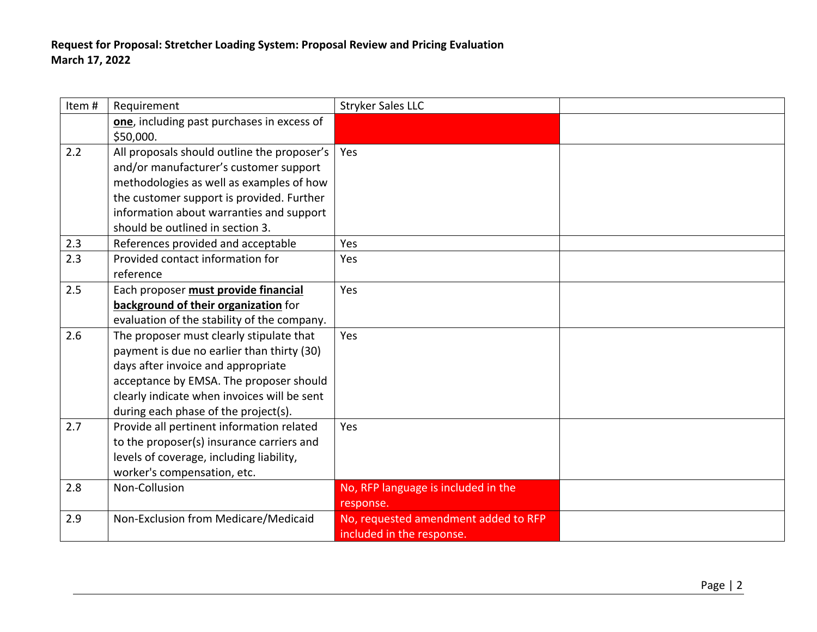| Item# | Requirement                                 | <b>Stryker Sales LLC</b>             |  |
|-------|---------------------------------------------|--------------------------------------|--|
|       | one, including past purchases in excess of  |                                      |  |
|       | \$50,000.                                   |                                      |  |
| 2.2   | All proposals should outline the proposer's | Yes                                  |  |
|       | and/or manufacturer's customer support      |                                      |  |
|       | methodologies as well as examples of how    |                                      |  |
|       | the customer support is provided. Further   |                                      |  |
|       | information about warranties and support    |                                      |  |
|       | should be outlined in section 3.            |                                      |  |
| 2.3   | References provided and acceptable          | Yes                                  |  |
| 2.3   | Provided contact information for            | Yes                                  |  |
|       | reference                                   |                                      |  |
| 2.5   | Each proposer must provide financial        | Yes                                  |  |
|       | background of their organization for        |                                      |  |
|       | evaluation of the stability of the company. |                                      |  |
| 2.6   | The proposer must clearly stipulate that    | Yes                                  |  |
|       | payment is due no earlier than thirty (30)  |                                      |  |
|       | days after invoice and appropriate          |                                      |  |
|       | acceptance by EMSA. The proposer should     |                                      |  |
|       | clearly indicate when invoices will be sent |                                      |  |
|       | during each phase of the project(s).        |                                      |  |
| 2.7   | Provide all pertinent information related   | Yes                                  |  |
|       | to the proposer(s) insurance carriers and   |                                      |  |
|       | levels of coverage, including liability,    |                                      |  |
|       | worker's compensation, etc.                 |                                      |  |
| 2.8   | Non-Collusion                               | No, RFP language is included in the  |  |
|       |                                             | response.                            |  |
| 2.9   | Non-Exclusion from Medicare/Medicaid        | No, requested amendment added to RFP |  |
|       |                                             | included in the response.            |  |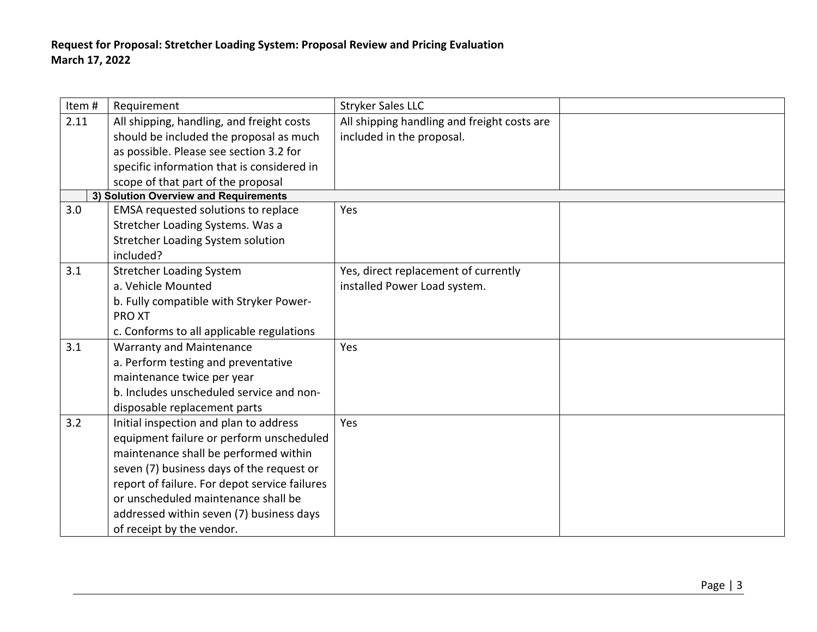| Item# | Requirement                                   | <b>Stryker Sales LLC</b>                    |  |
|-------|-----------------------------------------------|---------------------------------------------|--|
| 2.11  | All shipping, handling, and freight costs     | All shipping handling and freight costs are |  |
|       | should be included the proposal as much       | included in the proposal.                   |  |
|       | as possible. Please see section 3.2 for       |                                             |  |
|       | specific information that is considered in    |                                             |  |
|       | scope of that part of the proposal            |                                             |  |
|       | 3) Solution Overview and Requirements         |                                             |  |
| 3.0   | EMSA requested solutions to replace           | Yes                                         |  |
|       | Stretcher Loading Systems. Was a              |                                             |  |
|       | Stretcher Loading System solution             |                                             |  |
|       | included?                                     |                                             |  |
| 3.1   | <b>Stretcher Loading System</b>               | Yes, direct replacement of currently        |  |
|       | a. Vehicle Mounted                            | installed Power Load system.                |  |
|       | b. Fully compatible with Stryker Power-       |                                             |  |
|       | <b>PROXT</b>                                  |                                             |  |
|       | c. Conforms to all applicable regulations     |                                             |  |
| 3.1   | <b>Warranty and Maintenance</b>               | Yes                                         |  |
|       | a. Perform testing and preventative           |                                             |  |
|       | maintenance twice per year                    |                                             |  |
|       | b. Includes unscheduled service and non-      |                                             |  |
|       | disposable replacement parts                  |                                             |  |
| 3.2   | Initial inspection and plan to address        | Yes                                         |  |
|       | equipment failure or perform unscheduled      |                                             |  |
|       | maintenance shall be performed within         |                                             |  |
|       | seven (7) business days of the request or     |                                             |  |
|       | report of failure. For depot service failures |                                             |  |
|       | or unscheduled maintenance shall be           |                                             |  |
|       | addressed within seven (7) business days      |                                             |  |
|       | of receipt by the vendor.                     |                                             |  |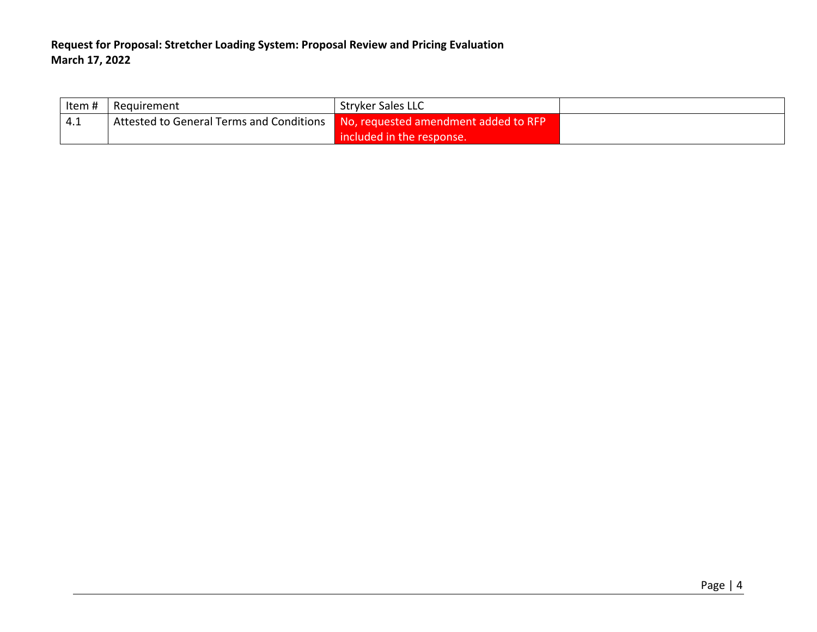| Item # | Requirement                                                                          | <b>Stryker Sales LLC</b>  |  |
|--------|--------------------------------------------------------------------------------------|---------------------------|--|
| 4.1    | Attested to General Terms and Conditions <b>No, requested amendment added to RFP</b> |                           |  |
|        |                                                                                      | included in the response. |  |